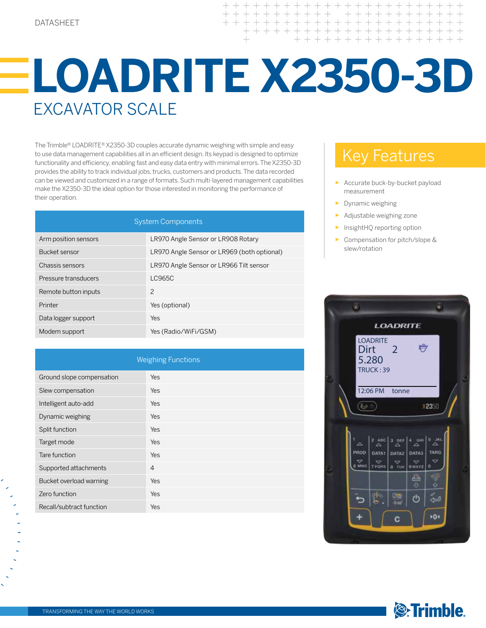$+ + +$ 

## **LOADRITE X2350-3D** EXCAVATOR SCALE

The Trimble® LOADRITE® X2350-3D couples accurate dynamic weighing with simple and easy to use data management capabilities all in an efficient design. Its keypad is designed to optimize functionality and efficiency, enabling fast and easy data entry with minimal errors. The X2350-3D provides the ability to track individual jobs, trucks, customers and products. The data recorded can be viewed and customized in a range of formats. Such multi-layered management capabilities make the X2350-3D the ideal option for those interested in monitoring the performance of their operation.

| <b>System Components</b> |                                             |  |
|--------------------------|---------------------------------------------|--|
| Arm position sensors     | LR970 Angle Sensor or LR908 Rotary          |  |
| Bucket sensor            | LR970 Angle Sensor or LR969 (both optional) |  |
| Chassis sensors          | LR970 Angle Sensor or LR966 Tilt sensor     |  |
| Pressure transducers     | LC965C                                      |  |
| Remote button inputs     | $\mathcal{P}$                               |  |
| Printer                  | Yes (optional)                              |  |
| Data logger support      | Yes                                         |  |
| Modem support            | Yes (Radio/WiFi/GSM)                        |  |

| <b>Weighing Functions</b> |                |  |
|---------------------------|----------------|--|
| Ground slope compensation | Yes            |  |
| Slew compensation         | Yes            |  |
| Intelligent auto-add      | Yes            |  |
| Dynamic weighing          | Yes            |  |
| Split function            | Yes            |  |
| Target mode               | Yes            |  |
| Tare function             | Yes            |  |
| Supported attachments     | $\overline{4}$ |  |
| Bucket overload warning   | Yes            |  |
| Zero function             | Yes            |  |
| Recall/subtract function  | Yes            |  |

## Key Features

- Accurate buck-by-bucket payload measurement
- ► Dynamic weighing
- Adjustable weighing zone
- InsightHQ reporting option
- ► Compensation for pitch/slope & slew/rotation